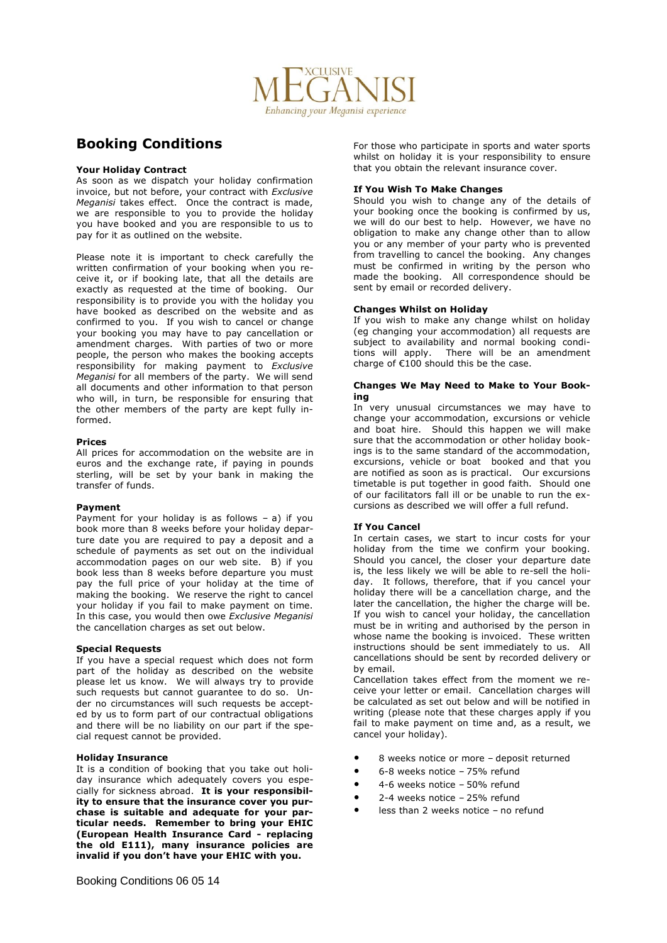

# **Booking Conditions**

# **Your Holiday Contract**

As soon as we dispatch your holiday confirmation invoice, but not before, your contract with *Exclusive Meganisi* takes effect. Once the contract is made, we are responsible to you to provide the holiday you have booked and you are responsible to us to pay for it as outlined on the website.

Please note it is important to check carefully the written confirmation of your booking when you receive it, or if booking late, that all the details are exactly as requested at the time of booking. Our responsibility is to provide you with the holiday you have booked as described on the website and as confirmed to you. If you wish to cancel or change your booking you may have to pay cancellation or amendment charges. With parties of two or more people, the person who makes the booking accepts responsibility for making payment to *Exclusive Meganisi* for all members of the party. We will send all documents and other information to that person who will, in turn, be responsible for ensuring that the other members of the party are kept fully informed.

#### **Prices**

All prices for accommodation on the website are in euros and the exchange rate, if paying in pounds sterling, will be set by your bank in making the transfer of funds.

# **Payment**

Payment for your holiday is as follows – a) if you book more than 8 weeks before your holiday departure date you are required to pay a deposit and a schedule of payments as set out on the individual accommodation pages on our web site. B) if you book less than 8 weeks before departure you must pay the full price of your holiday at the time of making the booking. We reserve the right to cancel your holiday if you fail to make payment on time. In this case, you would then owe *Exclusive Meganisi* the cancellation charges as set out below.

#### **Special Requests**

If you have a special request which does not form part of the holiday as described on the website please let us know. We will always try to provide such requests but cannot guarantee to do so. Under no circumstances will such requests be accepted by us to form part of our contractual obligations and there will be no liability on our part if the special request cannot be provided.

# **Holiday Insurance**

It is a condition of booking that you take out holiday insurance which adequately covers you especially for sickness abroad. **It is your responsibility to ensure that the insurance cover you purchase is suitable and adequate for your particular needs. Remember to bring your EHIC (European Health Insurance Card - replacing the old E111), many insurance policies are invalid if you don't have your EHIC with you.**

For those who participate in sports and water sports whilst on holiday it is your responsibility to ensure that you obtain the relevant insurance cover.

# **If You Wish To Make Changes**

Should you wish to change any of the details of your booking once the booking is confirmed by us, we will do our best to help. However, we have no obligation to make any change other than to allow you or any member of your party who is prevented from travelling to cancel the booking. Any changes must be confirmed in writing by the person who made the booking. All correspondence should be sent by email or recorded delivery.

# **Changes Whilst on Holiday**

If you wish to make any change whilst on holiday (eg changing your accommodation) all requests are subject to availability and normal booking conditions will apply. There will be an amendment charge of  $\epsilon$ 100 should this be the case.

#### **Changes We May Need to Make to Your Booking**

In very unusual circumstances we may have to change your accommodation, excursions or vehicle and boat hire. Should this happen we will make sure that the accommodation or other holiday bookings is to the same standard of the accommodation, excursions, vehicle or boat booked and that you are notified as soon as is practical. Our excursions timetable is put together in good faith. Should one of our facilitators fall ill or be unable to run the excursions as described we will offer a full refund.

# **If You Cancel**

In certain cases, we start to incur costs for your holiday from the time we confirm your booking. Should you cancel, the closer your departure date is, the less likely we will be able to re-sell the holiday. It follows, therefore, that if you cancel your holiday there will be a cancellation charge, and the later the cancellation, the higher the charge will be. If you wish to cancel your holiday, the cancellation must be in writing and authorised by the person in whose name the booking is invoiced. These written instructions should be sent immediately to us. All cancellations should be sent by recorded delivery or by email.

Cancellation takes effect from the moment we receive your letter or email. Cancellation charges will be calculated as set out below and will be notified in writing (please note that these charges apply if you fail to make payment on time and, as a result, we cancel your holiday).

- 8 weeks notice or more deposit returned
- 6-8 weeks notice 75% refund
- 4-6 weeks notice 50% refund
- 2-4 weeks notice 25% refund
- less than 2 weeks notice no refund